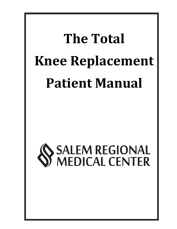# **The Total Knee Replacement Patient Manual**

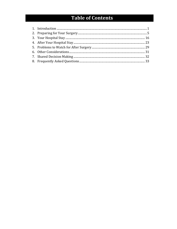## **Table of Contents**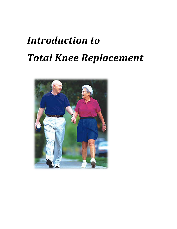## *Introduction to Total Knee Replacement*

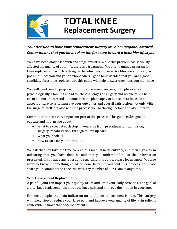

## **TOTAL KNEE Replacement Surgery**

### *Your decision to have joint replacement surgery at Salem Regional Medical Center means that you have taken the first step toward a healthier lifestyle.*

You have been diagnosed with end stage arthritis. While this problem has seriously affected the quality of your life, there is a treatment. We offer a unique program for knee replacement, which is designed to return you to an active lifestyle as quickly as possible. Since you and your orthopaedic surgeon have decided that you are a good candidate for a knee replacement, this guide will help answer questions you may have.

You will need time to prepare for joint replacement surgery, both physically and psychologically. Planning ahead for the challenges of surgery and recovery will help ensure a more successful outcome. It is the philosophy of our team to focus on all aspects of care so as to improve your outcomes and overall satisfaction; not only with the surgery itself, but also with the process you go through before and after surgery.

Communication is a very important part of this process. This guide is designed to educate and inform you about:

- What to expect at each step in your care from pre-admission, admission, surgery, rehabilitation, through follow-up care
- What your role is
- How to care for your new joint

We ask that you take the time to read this manual in its entirety, and then sign a form indicating that you have done so and that you understand all of the information presented. If you have any questions regarding this guide, please let us know. We also want to know if something could be done better throughout this process, so please share your comments or concerns with any member of our Team at any time.

#### **Why Have a Joint Replacement?**

A painful joint can impact your quality of life and limit your daily activities. The goal of a total knee replacement is to reduce knee pain and improve the motion in your knee.

For most people, the main indication for total joint replacement is pain. This surgery will likely stop or reduce your knee pain and improve your quality of life. Pain relief is achievable in more than 95% of patients.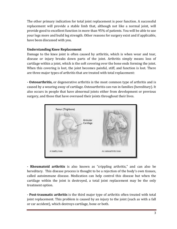The other primary indication for total joint replacement is poor function. A successful replacement will provide a stable limb that, although not like a normal joint, will provide good to excellent function in more than 95% of patients. You will be able to use your legs more and build leg strength. Other reasons for surgery exist and if applicable, have been discussed with you.

#### **Understanding Knee Replacement**

Damage to the knee joint is often caused by arthritis, which is when wear and tear, disease or injury breaks down parts of the joint. Arthritis simply means loss of cartilage within a joint, which is the soft covering over the bone ends forming the joint. When this covering is lost, the joint becomes painful, stiff, and function is lost. There are three major types of arthritis that are treated with total replacement:

**- Osteoarthritis,** or degenerative arthritis is the most common type of arthritis and is caused by a wearing away of cartilage. Osteoarthritis can run in families (hereditary). It also occurs in people that have abnormal joints either from development or previous surgery, and those that have overused their joints throughout their lives.



**- Rheumatoid arthritis** is also known as "crippling arthritis," and can also be hereditary. This disease process is thought to be a rejection of the body's own tissues, called autoimmune disease. Medication can help control this disease but when the cartilage within the joint is destroyed, a total joint replacement may be the only treatment option.

**- Post-traumatic arthritis** is the third major type of arthritis often treated with total joint replacement. This problem is caused by an injury to the joint (such as with a fall or car accident), which destroys cartilage, bone or both.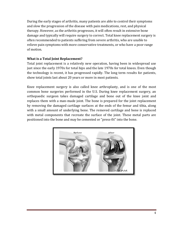During the early stages of arthritis, many patients are able to control their symptoms and slow the progression of the disease with pain medications, rest, and physical therapy. However, as the arthritis progresses, it will often result in extensive bone damage and typically will require surgery to correct. Total knee replacement surgery is often recommended to patients suffering from severe arthritis, who are unable to relieve pain symptoms with more conservative treatments, or who have a poor range of motion.

#### **What is a Total Joint Replacement?**

Total joint replacement is a relatively new operation, having been in widespread use just since the early 1970s for total hips and the late 1970s for total knees. Even though the technology is recent, it has progressed rapidly. The long term results for patients, show total joints last about 20 years or more in most patients.

Knee replacement surgery is also called knee arthroplasty, and is one of the most common bone surgeries performed in the U.S. During knee replacement surgery, an orthopaedic surgeon takes damaged cartilage and bone out of the knee joint and replaces them with a man-made joint. The bone is prepared for the joint replacement by removing the damaged cartilage surfaces at the ends of the femur and tibia, along with a small amount of underlying bone. The removed cartilage and bone is replaced with metal components that recreate the surface of the joint. These metal parts are positioned into the bone and may be cemented or "press-fit" into the bone.

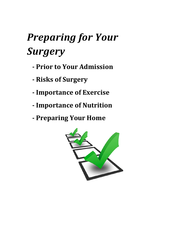## *Preparing for Your Surgery*

- **- Prior to Your Admission**
- **- Risks of Surgery**
- **- Importance of Exercise**
- **- Importance of Nutrition**
- **- Preparing Your Home**

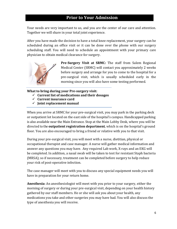### **Prior to Your Admission**

Your needs are very important to us, and you are the center of our care and attention. Together we will share in your total joint experience.

After you have made the decision to have a total knee replacement, your surgery can be scheduled during an office visit or it can be done over the phone with our surgery scheduling staff. You will need to schedule an appointment with your primary care physician to obtain medical clearance for surgery.



**Pre-Surgery Visit at SRMC:** The staff from Salem Regional Medical Center (SRMC) will contact you approximately 2 weeks before surgery and arrange for you to come to the hospital for a pre-surgical visit, which is usually scheduled early in the morning since you will also have some testing performed.

**What to bring during your Pre-surgery visit:**

- **Current list of medications and their dosages**
- **Current insurance card**
- **Joint replacement manual**

When you arrive at SRMC for your pre-surgical visit, you may park in the parking deck or outpatient lot located on the east side of the hospital's campus. Handicapped parking is also available near the Main Entrance. Stop at the Main Lobby Desk, where you will be directed to the **outpatient registration department**, which is on the hospital's ground floor. You are also encouraged to bring a friend or relative with you to that visit.

During your pre-surgical visit, you will meet with a nurse, dietitian, physical or occupational therapist and case manager. A nurse will gather medical information and answer any questions you may have. Any required Lab work, X-rays and an EKG will be completed. In addition, a nasal swab will be taken to test for resistant Staph bacteria (MRSA); so if necessary, treatment can be completed before surgery to help reduce your risk of post-operative infection.

The case manager will meet with you to discuss any special equipment needs you will have in preparation for your return home.

**Anesthesia**: An anesthesiologist will meet with you prior to your surgery, either the morning of surgery or during your pre-surgical visit, depending on your health history gathered by our staff members. He or she will ask you about your health, any medications you take and other surgeries you may have had. You will also discuss the type of anesthesia you will receive.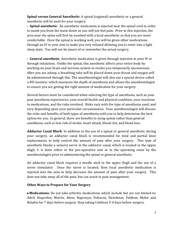**Spinal versus General Anesthetic:** A spinal (regional) anesthetic or a general anesthetic will be used for your surgery.

**- Spinal anesthetic**: An anesthetic medication is injected near the spinal cord in order to numb you from the waist down so you will not feel pain. Prior to this injection, the area near the spine will first be numbed with a local anesthetic so that you are more comfortable. Once the spinal is working well, you will be given other medications through an IV in your arm to make you very relaxed allowing you to enter into a light sleep state. You will not be aware of or remember the actual surgery.

**- General anesthetic**: Anesthetic medication is given through injection in your IV or through inhalation. Unlike the spinal, this anesthetic affects your entire body by working on your brain and nervous system to render you temporarily unconscious. After you are asleep, a breathing tube will be placed down your throat and oxygen will be administered through this. The anesthesiologist will also use a special device called a BIS monitor, which measures the depth of anesthesia and allows the anesthesiologist to ensure you are getting the right amount of medication for your surgery.

Several factors must be considered when selecting the type of anesthesia, such as your past anesthesia experiences, your overall health and physical condition, your reactions to medications, and the risks involved. Risks vary with the type of anesthesia used, and vary depending upon your particular circumstances. Your anesthesiologist will discuss the risks and benefits of both types of anesthesia with you to help determine the best option for you. In general, there are benefits to using spinal rather than general anesthesia, such as less risk of stroke, heart attack, blood clot, and blood loss.

**Adductor Canal Block**: In addition to the use of a spinal or general anesthetic during your surgery, an adductor canal block is recommended for total and partial knee replacements to help control the amount of pain after your surgery. This type of anesthetic blocks a sensory nerve in the adductor canal, which is located in the upper thigh. It is done either in the pre-operative unit or in the operating room by the anesthesiologist prior to administering the spinal or general anesthetic.

An adductor canal block requires a needle stick in the upper thigh and the use of a nerve stimulator. Once the nerve is located, then local anesthetic medication is injected into the area to help decrease the amount of pain after your surgery. This does not take away all of the pain, but can assist in pain management.

#### **Other Ways to Prepare for Your Surgery**

 **Medications:** Do not take arthritis medications which include but are not limited to: Advil, Ibuprofen, Motrin, Aleve, Naprosyn, Voltaren, Diclofenac, Feldene, Mobic and Relafen for 7 days before surgery. Stop taking Celebrex 3-4 days before surgery.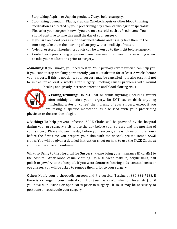- Stop taking Aspirin or Aspirin products 7 days before surgery.
- Stop taking Coumadin, Plavix, Pradaxa, Xarelto, Eliquis or other blood thinning medication as directed by your prescribing physician, cardiologist or specialist.
- Please let your surgeon know if you are on a steroid, such as Prednisone. You should continue to take this until the day of your surgery.
- If you are on blood pressure or heart medications and usually take them in the morning, take them the morning of surgery with a small sip of water.
- Tylenol or Acetaminophen products can be taken up to the night before surgery.
- Contact your prescribing physician if you have any other questions regarding when to take your medications prior to surgery.

 **Smoking:** If you smoke, you need to stop. Your primary care physician can help you. If you cannot stop smoking permanently, you must abstain for at least 2 weeks before your surgery. If this is not done, your surgery may be cancelled. It is also essential not to smoke for at least 2 weeks after surgery. Smoking causes problems with wound [he](http://www.premierortho.com/blog/how-to-prepare-for-spine-surgery/)aling and greatly increases infection and blood clotting risks.



**Eating/Drinking**: Do NOT eat or drink anything (including water)

after midnight before your surgery. Do NOT eat or drink anything (including water or coffee) the morning of your surgery, except if you are taking a specific medication as discussed with your prescribing

physician or the anesthesiologist.

 **Bathing:** To help prevent infection, SAGE Cloths will be provided by the hospital during your pre-surgery visit to use the day before your surgery and the morning of your surgery. Please shower the day before your surgery, at least three or more hours before the first time you prepare your skin with the special, pre-moistened SAGE cloths. You will be given a detailed instruction sheet on how to use the SAGE Cloths at your preoperative appointment.

**What to Bring to the Hospital for Surgery:** Please bring your insurance ID card(s) to the hospital. Wear loose, casual clothing. Do NOT wear makeup, acrylic nails, nail polish or jewelry to the hospital. If you wear dentures, hearing aids, contact lenses or eye glasses, you will be asked to remove them prior to your surgery.

**Other:** Notify your orthopaedic surgeon and Pre-surgical Testing at 330-332-7188, if there is a change in your medical condition (such as a cold, infection, fever, etc.), or if you have skin lesions or open sores prior to surgery. If so, it may be necessary to postpone or reschedule your surgery.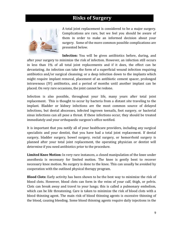### **Risks of Surgery**



A total joint replacement is considered to be a major surgery. Complications are rare, but we feel you should be aware of them in order to make an informed decision about your surgery. Some of the more common possible complications are presented below.

**Infection:** You will be given antibiotics before, during, and after your surgery to minimize the risk of infection. However, an infection still occurs in less than 1% of all total joint replacements and if it does, the effect can be devastating. An infection can take the form of a superficial wound infection requiring antibiotics and/or surgical cleansing; or a deep infection down to the implants which might require implant removal, placement of an antibiotic cement spacer, prolonged intravenous (IV) antibiotics, and a period of months until another implant can be placed. On very rare occasions, the joint cannot be redone.

Infection is also possible, throughout your life, many years after total joint replacement. This is thought to occur by bacteria from a distant site traveling to the implant. Bladder or kidney infections are the most common source of delayed infections, but dental abscesses, infected ingrown toenails, foot surgery, or bacterial sinus infections can all pose a threat. If these infections occur, they should be treated immediately and your orthopaedic surgeon's office notified.

It is important that you notify all of your healthcare providers, including any surgical specialists and your dentist, that you have had a total joint replacement. If dental surgery, bladder surgery, bowel surgery, rectal surgery, or hemorrhoid surgery is planned after your total joint replacement, the operating physician or dentist will determine if you need antibiotics prior to the procedure.

**Limited Knee Motion:** In very rare instances, a closed manipulation of the knee under anesthesia is necessary for limited motion. The knee is gently bent to recover necessary knee motion. No surgery is done to the knee. This can usually be avoided by cooperation with the outlined physical therapy program.

**Blood Clots:** Early activity has been shown to be the best way to minimize the risk of blood clots. However, blood clots can form in the veins of your calf, thigh, or pelvis. Clots can break away and travel to your lungs; this is called a pulmonary embolism, which can be life threatening. Care is taken to minimize the risk of blood clots with a blood thinning agent. The main risk of blood thinning agents is excessive thinning of the blood, causing bleeding. Some blood thinning agents require daily injections in the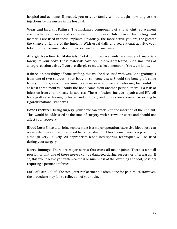hospital and at home. If needed, you or your family will be taught how to give the injections by the nurses in the hospital.

**Wear and Implant Failure:** The implanted components of a total joint replacement are mechanical pieces and can wear out or break. Only proven technology and materials are used in these implants. Obviously, the more active you are, the greater the chance of failure of the implant. With usual daily and recreational activity, your total joint replacement should function well for many years.

**Allergic Reaction to Materials:** Total joint replacements are made of materials foreign to your body. These materials have been thoroughly tested, but a small risk of allergic reaction exists. If you are allergic to metals, let a member of the team know.

If there is a possibility of bone grafting, this will be discussed with you. Bone grafting is from one of two sources: your body or someone else's. Should the bone graft come from your body, a second incision may be necessary. Bone graft sites may be painful for at least three months. Should the bone come from another person, there is a risk of infection from viral or bacterial sources. These infections include hepatitis and HIV. All bone grafts are thoroughly tested and cultured, and donors are screened according to rigorous national standards.

**Bone Fracture:** During surgery, your bone can crack with the insertion of the implant. This would be addressed at the time of surgery with screws or wires and should not affect your recovery.

**Blood Loss:** Since total joint replacement is a major operation, excessive blood loss can occur which would require blood bank transfusion. Blood transfusion is a possibility, although very unlikely. All appropriate blood loss sparing techniques will be used during your surgery.

**Nerve Damage:** There are major nerves that cross all major joints. There is a small possibility that one of these nerves can be damaged during surgery or afterwards. If so, this would leave you with weakness or numbness of the lower leg and foot, possibly requiring a permanent brace

**Lack of Pain Relief:** The total joint replacement is often done for pain relief. However, the procedure may fail to relieve all of your pain.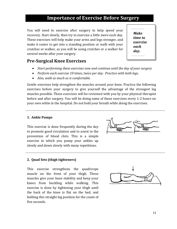### **Importance of Exercise Before Surgery**

You will need to exercise after surgery to help speed your recovery. Start slowly, then try to exercise a little more each day. These exercises will help make your arms and legs stronger, and make it easier to get into a standing position or walk with your crutches or walker, as you will be using crutches or a walker for several weeks after your surgery.

*Make time to exercise each day.*

### **Pre-Surgical Knee Exercises**

- *Start performing these exercises now and continue until the day of your surgery*
- *Perform each exercise 10 times, twice per day. Practice with both legs.*
- *Also, walk as much as is comfortable.*

Gentle exercises help strengthen the muscles around your knee. Practice the following exercises before your surgery to give yourself the advantage of the strongest leg muscles possible. These exercises will be reviewed with you by your physical therapist before and after surgery. You will be doing some of these exercises every 1-2 hours on your own while in the hospital. Do not hold your breath while doing the exercises.

#### **1. Ankle Pumps**

This exercise is done frequently during the day to promote good circulation and to assist in the prevention of blood clots. This is a simple exercise in which you pump your ankles up slowly and down slowly with many repetitions.



#### **2. Quad Sets (thigh tighteners)**

This exercise strengthens the quadriceps muscle on the front of your thigh. These muscles give your knee stability and keep your knees from buckling while walking. This exercise is done by tightening your thigh until the back of the knee is flat on the bed, and holding this straight leg position for the count of five seconds.

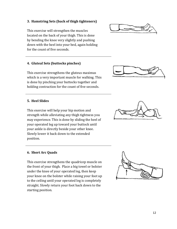#### **3. Hamstring Sets (back of thigh tighteners)**

This exercise will strengthen the muscles located on the back of your thigh. This is done by bending the knee very slightly and pushing down with the heel into your bed, again holding for the count of five seconds.

#### **4. Gluteal Sets (buttocks pinches)**

This exercise strengthens the gluteus maximus which is a very important muscle for walking. This is done by pinching your buttocks together and holding contraction for the count of five seconds.

#### **5. Heel Slides**

This exercise will help your hip motion and strength while alleviating any thigh tightness you may experience. This is done by sliding the heel of your operated leg up toward your buttock until your ankle is directly beside your other knee. Slowly lower it back down to the extended position.

#### **6. Short Arc Quads**

This exercise strengthens the quadricep muscle on the front of your thigh. Place a big towel or bolster under the knee of your operated leg, then keep your knee on the bolster while raising your foot up to the ceiling until your operated leg is completely straight. Slowly return your foot back down to the starting position.







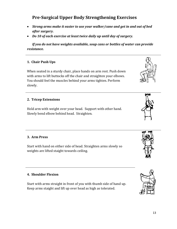## **Pre-Surgical Upper Body Strengthening Exercises**

- *Strong arms make it easier to use your walker/cane and get in and out of bed after surgery.*
- *Do 10 of each exercise at least twice daily up until day of surgery.*

*If you do not have weights available, soup cans or bottles of water can provide resistance.*

#### **1. Chair Push Ups**

When seated in a sturdy chair, place hands on arm rest. Push down with arms to lift buttocks off the chair and straighten your elbows. You should feel the muscles behind your arms tighten. Perform slowly.

#### **2. Tricep Extensions**

Hold arm with weight over your head. Support with other hand. Slowly bend elbow behind head. Straighten.

#### **3. Arm Press**

Start with hand on either side of head. Straighten arms slowly so weights are lifted staight towards ceiling.

#### **4. Shoulder Flexion**

Start with arms straight in front of you with thumb side of hand up. Keep arms staight and lift up over head as high as tolerated.







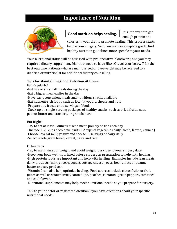## **Importance of Nutrition**



#### **Good nutrition helps healing.**

It is important to get enough protein and

calories in your diet to promote healing. This process starts before your surgery. Visit [www.choosemyplate.gov](http://www.choosemyplate.gov/) to find healthy nutrition guidelines more specific to your needs.

Your nutritional status will be assessed with pre-operative bloodwork, and you may require a dietary supplement. Diabetics need to have HbA1C level at or below 7 for the best outcome. Patients who are malnourised or overweight may be referred to a dietitian or nutritionist for additional dietary counseling.

#### **Tips for Maintaining Good Nutrition At Home**:

Eat Regularly!

-Eat five or six small meals during the day

-Eat a bigger meal earlier in the day

-Have easy, convenient meals and nutritious snacks available

-Eat nutrient-rich foods, such as low-fat yogurt, cheese and nuts

-Prepare and freeze extra servings of foods

-Stock up on single-serving packages of healthy snacks, such as dried fruits, nuts, peanut butter and crackers, or granola bars

#### **Eat Right!**

-Try to eat at least 5 ounces of lean meat, poultry or fish each day

- Include 1 ½ cups of colorful fruits + 2 cups of vegetables daily (fresh, frozen, canned)

-Choose low-fat milk, yogurt and cheese- 3 servings of dairy daily

-Select whole grain bread, cereal, pasta and rice

#### **Other Tips**

-Try to maintain your weight and avoid weight loss close to your surgery date. -Keep your body well-nourished before surgery as preparation to help with healing. -High protein foods are important and help with healing. Examples include lean meats, dairy products (milk, cheese, yogurt, cottage cheese), eggs, beans, nuts or peanut butter and soy products.

-Vitamin C can also help optimize healing. Food sources include citrus fruits or fruit juices as well as strawberries, cantaloupe, peaches, currants, green peppers, tomatoes and cauliflower.

-Nutritional supplements may help meet nutritional needs as you prepare for surgery.

Talk to your doctor or registered dietitian if you have questions about your specific nutritional needs.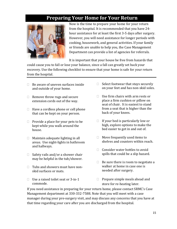## **Preparing Your Home for Your Return**



Now is the time to prepare your home for your return from the hospital. It is recommended that you have 24 hour assistance for at least the first 3-5 days after surgery. However, you will need assistance for longer periods with cooking, housework, and general activities. If your family or friends are unable to help you, the Case Management Department can provide a list of agencies for referrals.

It is important that your house be free from hazards that

could cause you to fall or lose your balance, since a fall can greatly set back your recovery. Use the following checklist to ensure that your home is safe for your return from the hospital.

- $\Box$  Be aware of uneven surfaces inside and outside of your home.
- $\Box$  Remove throw rugs and secure extension cords out of the way.
- $\Box$  Have a cordless phone or cell phone that can be kept on your person.
- $\Box$  Provide a place for your pets to be kept while you walk around the house.
- $\Box$  Maintain adequate lighting in all areas. Use night-lights in bathroom and hallways.
- $\Box$  Safety rails and/or a shower chair may be helpful in the tub/shower.
- $\Box$  Tubs and showers must have nonskid surfaces or mats.
- $\Box$  Use a raised toilet seat or 3-in-1 commode.
- $\Box$  Select footwear that stays securely on your feet and has non-skid soles.
- $\Box$  Use firm chairs with arm rests or place a firm cushion or pillow on seat of chair. It is easiest to stand from a seat that is higher than the back of your knees.
- $\Box$  If your bed is particularly low or high, explore options to make the bed easier to get in and out of.
- $\Box$  Move frequently used items to shelves and counters within reach.
- $\Box$  Consider water bottles to avoid spills that could be a slip hazard.
- $\Box$  Be sure there is room to negotiate a walker at home in case one is needed after surgery.
- $\Box$  Prepare simple meals ahead and store for re-heating later.

If you need assistance in preparing for your return home, please contact SRMC's Case Management department at 330-332-7588. Note that you will meet with a case manager during your pre-surgery visit, and may discuss any concerns that you have at that time regarding your care after you are discharged from the hospital.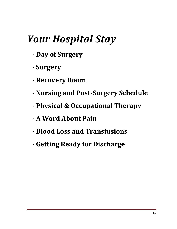## *Your Hospital Stay*

- **- Day of Surgery**
- **- Surgery**
- **- Recovery Room**
- **- Nursing and Post-Surgery Schedule**
- **- Physical & Occupational Therapy**
- **- A Word About Pain**
- **- Blood Loss and Transfusions**
- **- Getting Ready for Discharge**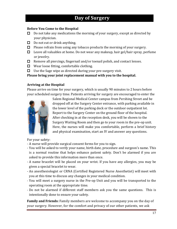## **Day of Surgery**

#### **Before You Come to the Hospital**

- $\Box$  Do not take any medications the morning of your surgery, except as directed by your physician.
- $\Box$  Do not eat or drink anything.
- $\Box$  Please refrain from using any tobacco products the morning of your surgery.
- $\Box$  Leave all valuables at home. Do not wear any makeup, hair gel/hair spray, perfume or jewelry.
- $\Box$  Remove all piercings, fingernail and/or toenail polish, and contact lenses.
- $\Box$  Wear loose fitting, comfortable clothing.
- $\Box$  Use the Sage wipe as directed during your pre-surgery visit.

**Please bring your joint replacement manual with you to the hospital.**

#### **Arriving at the Hospital**

Please arrive on time for your surgery, which is usually 90 minutes to 2 hours before your scheduled surgery time. Patients arriving for surgery are encouraged to enter the



Salem Regional Medical Center campus from Pershing Street and be dropped off at the Surgery Center entrance, with parking available in the lower level of the parking deck or the outdoor outpatient lot. Report to the Surgery Center on the ground floor of the hospital. After checking in at the reception desk, you will be shown to the Surgery Waiting Room and then go to your room in the pre-op unit. Here, the nurses will make you comfortable, perform a brief history and physical examination, start an IV and answer any questions.

For your safety:

- A nurse will provide surgical consent forms for you to sign.
- You will be asked to verify your name, birth date, procedure and surgeon's name. This is a normal routine that helps enhance patient safety. Don't be alarmed if you are asked to provide this information more than once.
- A name bracelet will be placed on your wrist. If you have any allergies, you may be given a special bracelet to wear.
- An anesthesiologist or CRNA (Certified Registered Nurse Anesthetist) will meet with you at this time to discuss any changes in your medical condition.
- You will meet a surgery nurse in the Pre-op Unit and you will be transported to the operating room at the appropriate time.
- Do not be alarmed if different staff members ask you the same questions. This is intentionally done to ensure your safety.

**Family and Friends:** Family members are welcome to accompany you on the day of your surgery. However, for the comfort and privacy of our other patients, we ask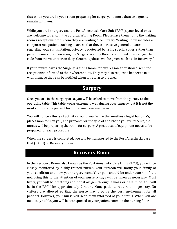that when you are in your room preparing for surgery, no more than two guests remain with you.

While you are in surgery and the Post Anesthesia Care Unit (PACU), your loved ones are welcome to relax in the Surgical Waiting Room. Please have them notify the waiting room's receptionist for whom they are waiting. The Surgery Waiting Room includes a computerized patient tracking board so that they can receive general updates regarding your status. Patient privacy is protected by using special codes, rather than patient names. Upon entering the Surgery Waiting Room, your loved ones can get their code from the volunteer on duty. General updates will be given, such as "In Recovery."

If your family leaves the Surgery Waiting Room for any reason, they should keep the receptionist informed of their whereabouts. They may also request a beeper to take with them, so they can be notified when to return to the area.

## **Surgery**

Once you are in the surgery area, you will be asked to move from the gurney to the operating table. This table works extremely well during your surgery, but it is not the most comfortable piece of furniture you have ever been on!

You will notice a flurry of activity around you. While the anesthesiologist hangs IVs, places monitors on you, and prepares for the type of anesthetic you will receive, the nurses will be preparing the room for surgery. A great deal of equipment needs to be prepared for each procedure.

When the surgery is completed, you will be transported to the Post Anesthesia Care Unit (PACU) or Recovery Room.

## **Recovery Room**

In the Recovery Room, also known as the Post Anesthetic Care Unit (PACU), you will be closely monitored by highly trained nurses. Your surgeon will notify your family of your condition and how your surgery went. Your pain should be under control; if it is not, bring this to the attention of your nurse. X-rays will be taken as necessary. Most likely, you will be breathing additional oxygen through a mask or nasal tube. You will be in the PACU for approximately 2 hours. Many patients require a longer stay. No visitors are allowed so that the nurse may provide the best environment for all patients. However, your nurse will keep them informed of your status. When you are medically stable, you will be transported to your patient room on the nursing floor.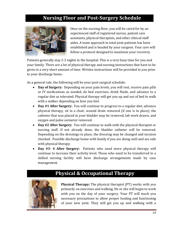## **Nursing Floor and Post-Surgery Schedule**



Once on the nursing floor, you will be cared for by an experienced staff of registered nurses, patient care assistants, physical therapists, and other clinical staff aides. A team approach to total joint patients has been established and is headed by your surgeon. Your care will follow a protocol designed to maximize your recovery.

Patients generally stay 2-3 nights in the hospital. This is a very busy time for you and your family. There are a lot of physical therapy and nursing instructions that have to be given in a very short amount of time. Written instructions will be provided to you prior to your discharge home.

As a general rule, the following will be your post-surgical schedule:

- **Day of Surgery:** Depending on your pain levels, you will rest, receive pain pills or IV medications as needed, do bed exercises, drink fluids, and advance to a regular diet as tolerated. Physical therapy will get you up and out of bed to walk with a walker depending on how you feel.
- **Day #1 After Surgery:** You will continue to progress to a regular diet, advance physical therapy, sit in a chair, wound drain removed (if one is in place), the catheter that was placed in your bladder may be removed, lab work drawn, and oxygen and pulse oximeter removed.
- **Day #2 After Surgery:** You will continue to walk with the physical therapist or nursing staff. If not already done, the bladder catheter will be removed. Depending on the dressings in place, the dressing may be changed and incision checked. Possible discharge home with family if you are doing well and are safe with physical therapy.
- **Day #3- 4 After Surgery:** Patients who need more physical therapy will continue to increase their activity level. Those who need to be transferred to a skilled nursing facility will have discharge arrangements made by case management.

## **Physical & Occupational Therapy**



**Physical Therapy:** The physical therapist (PT) works with you primarily on exercises and walking. He or she will begin to work with you on the day of your surgery. Your PT will teach you necessary precautions to allow proper healing and functioning of your new joint. They will get you up and walking with a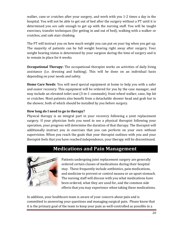walker, cane or crutches after your surgery, and work with you 1-2 times a day in the hospital. You will not be able to get out of bed after the surgery without a PT until it is determined you are safe enough to get up with the nursing staff. You will be taught exercises, transfer techniques (for getting in and out of bed), walking with a walker or crutches, and safe stair climbing.

The PT will instruct you on how much weight you can put on your leg when you get up. The majority of patients can be full weight bearing right away after surgery. Your weight bearing status is determined by your surgeon during the time of surgery and is to remain in place for 6 weeks.

**Occupational Therapy:** The occupational therapist works on activities of daily living assistance (i.e. dressing and bathing). This will be done on an individual basis depending on your needs and safety.

**Home Care Needs**: You will need special equipment at home to help you with a safer and easier recovery. This equipment will be ordered for you by the case manager, and may include an elevated toilet seat (3-in-1 commode), front wheel walker, cane, hip kit or crutches. Most patients also benefit from a detachable shower head and grab bar in the shower, both of which should be installed by you before surgery.

#### **How long do I need to go to therapy?**

Physical therapy is an integral part in your recovery following a joint replacement surgery. If your physician feels you need to see a physical therapist following your operation, your progress will determine the duration of that therapy. The therapist will additionally instruct you in exercises that you can perform on your own without supervision. When you reach the goals that your therapist outlines with you and your therapist feels that you have reached independence, your therapy will be discontinued.

## **Medications and Pain Management**



Patients undergoing joint replacement surgery are generally ordered certain classes of medications during their hospital stay. These frequently include antibiotics, pain medications, and medicine to prevent or control nausea or an upset stomach. The nursing staff will discuss with you what medications have been ordered, what they are used for, and the common side effects that you may experience when taking these medications.

In addition, your healthcare team is aware of your concern about pain and is committed to answering your questions and managing surgical pain. Please know that it is the primary goal of the team to keep your pain as well-controlled as possible in a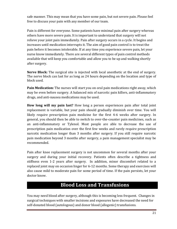safe manner. This may mean that you have some pain, but not severe pain. Please feel free to discuss your pain with any member of our team.

Pain is different for everyone. Some patients have minimal pain after surgery whereas others have more severe pain. It is important to understand that surgery will not relieve your joint pain immediately. Pain after surgery occurs in a cycle. It begins and increases until medication interrupts it. The aim of good pain control is to treat the pain before it becomes intolerable. If at any time you experience severe pain, let your nurse know immediately. There are several different types of pain control methods available that will keep you comfortable and allow you to be up and walking shortly after surgery.

**Nerve Block:** The surgical site is injected with local anesthetic at the end of surgery. The nerve block can last for as long as 24 hours depending on the location and type of block used.

**Pain Medication:** The nurses will start you on oral pain medications right away, which may be even before surgery. A balanced mix of narcotic pain killers, anti-inflammatory drugs, and anti-nausea medications may be used.

**How long will my pain last?** How long a person experiences pain after total joint replacement is variable, but your pain should gradually diminish over time. You will likely require prescription pain medicine for the first 4-6 weeks after surgery. In general, you should then be able to switch to over-the-counter pain medicines, such as an anti-inflammatory or Tylenol. Most people are able to decrease the use of prescription pain medication over the first few weeks and rarely require prescription narcotic medication longer than 3 months after surgery. If you still require narcotic pain medication beyond 3 months after surgery, a pain management specialist may be recommended.

Pain after knee replacement surgery is not uncommon for several months after your surgery and during your initial recovery. Patients often describe a tightness and stiffness even 1-2 years after surgery. In addition, minor discomfort related to a replaced joint may on occasion linger for 6-12 months. Some therapy and exercises will also cause mild to moderate pain for some period of time. If the pain persists, let your doctor know.

## **Blood Loss and Transfusions**

You may need blood after surgery, although this is becoming less frequent. Changes in surgical techniques with smaller incisions and exposures have decreased the need for self-donated blood (autologous) and donor blood (allogenic) transfusions.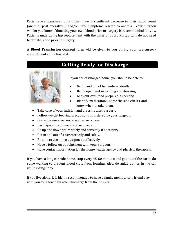Patients are transfused only if they have a significant decrease in their blood count (anemia) post-operatively and/or have symptoms related to anemia. Your surgeon will let you know if donating your own blood prior to surgery is recommended for you. Patients undergoing hip replacement with the anterior approach typically do not need to donate blood prior to surgery.

A **Blood Transfusion Consent** form will be given to you during your pre-surgery appointment at the hospital.

## **Getting Ready for Discharge**



If you are discharged home, you should be able to:

- Get in and out of bed independently.
- Be independent in bathing and dressing.
- Get your own food prepared as needed.
- Identify medications, name the side effects, and know when to take them.
- Take care of your incision and dressing after surgery.
- Follow weight bearing precautions as ordered by your surgeon.
- Correctly use a walker, crutches, or a cane.
- Participate in a home exercise program.
- Go up and down stairs safely and correctly if necessary.
- Get in and out of a car correctly and safely.
- Be able to use home equipment effectively.
- Have a follow up appointment with your surgeon.
- Have contact information for the home health agency and physical therapists.

If you have a long car ride home, stop every 45-60 minutes and get out of the car to do some walking to prevent blood clots from forming. Also, do ankle pumps in the car while riding home.

If you live alone, it is highly recommended to have a family member or a friend stay with you for a few days after discharge from the hospital.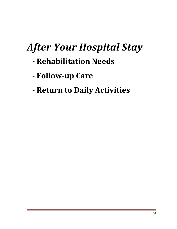## *After Your Hospital Stay*

- **- Rehabilitation Needs**
- **- Follow-up Care**
- **- Return to Daily Activities**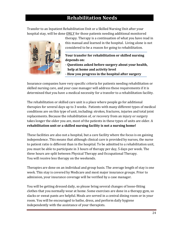## **Rehabilitation Needs**

Transfer to an Inpatient Rehabilitation Unit or a Skilled Nursing Unit after your hospital stay, will be done ONLY for those patients needing additional monitored



therapy. Therapy is a continuation of what you have read in this manual and learned in the hospital. Living alone is not considered to be a reason for going to rehabilitation.

**Your transfer for rehabilitation or skilled nursing depends on:**

- **- Questions asked before surgery about your health, help at home and activity level**
- **- How you progress in the hospital after surgery**

Insurance companies have very specific criteria for patients needing rehabilitation or skilled nursing care, and your case manager will address these requirements if it is determined that you have a medical necessity for a transfer to a rehabilitation facility.

The rehabilitation or skilled care unit is a place where people go for additional therapies for several days up to 3 weeks. Patients with many different types of medical conditions are on this type of unit, including: strokes, fractures, injuries and total joint replacements. Because the rehabilitation of, or recovery from an injury or surgery takes longer the older you are, most of the patients in these types of units are older. A **rehabilitation unit or a skilled nursing facility is not a nursing home!**

These facilities are also not a hospital, but a care facility where the focus is on gaining independence. This means that although clinical care is provided by nurses, the nurse to patient ratio is different than in the hospital. To be admitted to a rehabilitation unit, you must be able to participate in 3 hours of therapy per day, 5 days per week. The three hours are split between Physical Therapy and Occupational Therapy. You will receive less therapy on the weekends.

Therapies are done on an individual and group basis. The average length of stay is one week. This stay is covered by Medicare and most major insurance groups. Prior to admission, your insurance coverage will be verified by a case manager.

You will be getting dressed daily, so please bring several changes of loose-fitting clothes that you normally wear at home. Some exercises are done in a therapy gym, so slacks or sweat pants are helpful. Meals are served in a central dining room or in your room. You will be encouraged to bathe, dress, and perform daily hygiene independently with the assistance of your therapists.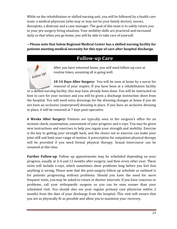While on the rehabilitation or skilled nursing unit, you will be followed by a health care team: a medical physician (who may or may not be your family doctor), nurses, therapists, a dietician and a case manager. The goal of this team is to safely return you to your pre-surgery living situation. Your mobility skills are practiced and increased daily so that when you go home, you will be able to take care of yourself.

**~ Please note that Salem Regional Medical Center has a skilled nursing facility for patients meeting medical necessity for this type of care after hospital discharge.**

## **Follow-up Care**

Follow Up!

After you have returned home, you will need follow-up care at routine times, assuming all is going well.

**10-14 Days After Surgery:** You will be seen at home by a nurse for removal of your staples. If you have been at a rehabilitation facility or a skilled nursing facility, this may have already been done. You will be instructed on how to care for your incision and you will be given a discharge instruction sheet from the hospital. You will need extra dressings for the dressing changes at home if you do not have an occlusive (waterproof) dressing in place. If you have an occlusive dressing in place, it will be removed at 7 days post-operative.

**6 Weeks After Surgery:** Patients are typically seen in the surgeon's office for an incision check, examination, assessment of your progress and x-rays. You may be given new instructions and exercises to help you regain your strength and mobility. Exercise is the key to getting your strength back, and the choice not to exercise can make your joint stiff and limit your range of motion. A prescription for outpatient physical therapy will be provided if you need formal physical therapy. Sexual intercourse can be resumed at this time.

**Further Follow-up**: Follow up appointments may be scheduled depending on your progress, usually at 3, 6 and 12 months after surgery; and then every other year. These visits will include x-rays, which sometimes show problems long before you feel that anything is wrong. Please note that the post-surgery follow up schedule as outlined is for patients progressing without problems. Should you have the need for more frequent visits, you may be asked to return at shorter intervals. If you have concerns or problems, call your orthopaedic surgeon so you can be seen sooner than your scheduled visit. You should also see your regular primary care physician within 2 months from the date of your discharge from the hospital. This visit will ensure that you are as physically fit as possible and allow you to maximize your recovery.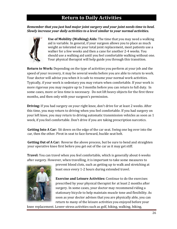## **Return to Daily Activities**

#### *Remember that you just had major joint surgery and your joint needs time to heal. Slowly increase your daily activities to a level similar to your normal activities.*



**Use of Mobility (Walking) Aids:** The time that you may need a walking aid is variable. In general, if your surgeon allows you to place as much weight as tolerated on your total joint replacement, most patients use a walker for a few weeks and then a cane for another 2-4 weeks. You should use a walking aid until you feel comfortable walking without one. Your physical therapist will help guide you through this transition.

**Return to Work:** Depending on the type of activities you perform at your job and the speed of your recovery, it may be several weeks before you are able to return to work. Your doctor will advise you when it is safe to resume your normal work activities. Typically, if your work is sedentary you may return when comfortable. If your work is more rigorous you may require up to 3 months before you can return to full duty. In some cases, more or less time is necessary. Do not lift heavy objects for the first three months, and then only with your surgeon's permission.

**Driving:** If you had surgery on your right knee, don't drive for at least 2 weeks. After this time, you may return to driving when you feel comfortable. If you had surgery on your left knee, you may return to driving automatic transmission vehicles as soon as 1 week, if you feel comfortable. Don't drive if you are taking prescription narcotics.

**Getting Into A Car:** Sit down on the edge of the car seat. Swing one leg over into the car, then the other. Pivot in seat to face forward, buckle seat belt.

**Getting Out of A Car:** Reverse the above process, but be sure to bend and straighten your operative knee first before you get out of the car as it may get stiff.

**Travel:** You can travel when you feel comfortable, which is generally about 6 weeks after surgery. However, when travelling, it is important to take some measures to



prevent blood clots, such as getting up to walk and stretching at least once every 1-2 hours during extended travel.

**Exercise and Leisure Activities:** Continue to do the exercises prescribed by your physical therapist for at least 2 months after surgery. In some cases, your doctor may recommend riding a stationary bicycle to help maintain muscle tone and flexibility. As soon as your doctor advises that you are physically able, you can return to many of the leisure activities you enjoyed before your

knee replacement. Lower-stress activities such as golf, hiking, walking, biking,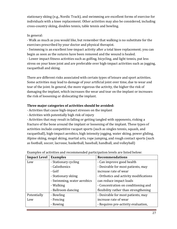stationary skiing (e.g., Nordic Track), and swimming are excellent forms of exercise for individuals with a knee replacement. Other activities may also be considered, including cross-country skiing, doubles tennis, table tennis and bowling.

#### In general:

- Walk as much as you would like, but remember that walking is no substitute for the exercises prescribed by your doctor and physical therapist.

- Swimming is an excellent low-impact activity after a total knee replacement; you can begin as soon as the sutures have been removed and the wound is healed.

- Lower impact fitness activities such as golfing, bicycling, and light tennis, put less stress on your knee joint and are preferable over high-impact activities such as jogging, racquetball and skiing.

There are different risks associated with certain types of leisure and sport activities. Some activities may lead to damage of your artificial joint over time, due to wear and tear of the joint. In general, the more vigorous the activity, the higher the risk of damaging the implant, which increases the wear and tear on the implant or increases the risk of loosening or dislocating the implant.

#### **Three major categories of activities should be avoided:**

- Activities that cause high-impact stresses on the implant

- Activities with potentially high risk of injury

- Activities that may result in falling or getting tangled with opponents, risking a fracture of the bone around the implant or loosening of the implant. These types of activities include competitive racquet sports (such as singles tennis, squash, and racquetball), high-impact aerobics, high intensity jogging, water skiing, power gliding, Alpine skiing, mogul skiing, martial arts, rope jumping, and rough contact sports (such as football, soccer, lacrosse, basketball, baseball, handball, and volleyball)

| <b>Impact Level</b>         | <b>Examples</b>            | <b>Recommendations</b>                 |  |
|-----------------------------|----------------------------|----------------------------------------|--|
| - Stationary cycling<br>Low |                            | - Can improve good health              |  |
|                             | - Calisthenics             | - Desirable for most patients, may     |  |
|                             | - Golf                     | increase rate of wear                  |  |
|                             | - Stationary skiing        | - Orthotics and activity modifications |  |
|                             | - Swimming, water aerobics | can reduce impact loads                |  |
|                             | - Walking                  | - Concentration on conditioning and    |  |
|                             | - Ballroom dancing         | flexibility rather than strengthening  |  |
| Potentially                 | - Bowling                  | - Desirable for most patients, may     |  |
| Low                         | - Fencing                  | increase rate of wear                  |  |
|                             | - Rowing                   | - Requires pre-activity evaluation,    |  |

| Examples of activities and recommended participation levels are listed below: |  |
|-------------------------------------------------------------------------------|--|
|-------------------------------------------------------------------------------|--|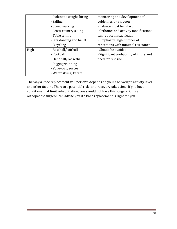|      | - Isokinetic weight-lifting | monitoring and development of           |
|------|-----------------------------|-----------------------------------------|
|      | - Sailing                   | guidelines by surgeon                   |
|      | - Speed walking             | - Balance must be intact                |
|      | - Cross-country skiing      | - Orthotics and activity modifications  |
|      | - Table tennis              | can reduce impact loads                 |
|      | - Jazz dancing and ballet   | - Emphasize high number of              |
|      | - Bicycling                 | repetitions with minimal resistance     |
| High | - Baseball/softball         | - Should be avoided                     |
|      | - Football                  | - Significant probability of injury and |
|      | - Handball/racketball       | need for revision                       |
|      | - Jogging/running           |                                         |
|      | - Volleyball, soccer        |                                         |
|      | - Water skiing, karate      |                                         |

The way a knee replacement will perform depends on your age, weight, activity level and other factors. There are potential risks and recovery takes time. If you have conditions that limit rehabilitation, you should not have this surgery. Only an orthopaedic surgeon can advise you if a knee replacement is right for you.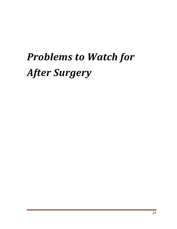## *Problems to Watch for After Surgery*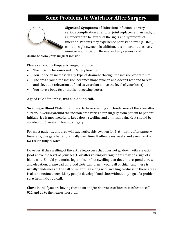## **Some Problems to Watch for After Surgery**



**Signs and Symptoms of Infection:** Infection is a very serious complication after total joint replacement. As such, it is important to be aware of the signs and symptoms of infection. Patients may experience persistent fever (>102°), chills or night sweats. In addition, it is important to closely monitor your incision. Be aware of any redness and

drainage from your surgical incision.

Please call your orthopaedic surgeon's office if:

- The incision becomes red or "angry looking."
- You notice an increase in any type of drainage through the incision or drain site.
- The area around the incision becomes more swollen and doesn't respond to rest and elevation (elevation defined as your foot above the level of your heart).
- You have a body fever that is not getting better.

A good rule of thumb is, **when in doubt, call.**

**Swelling & Blood Clots:** It is normal to have swelling and tenderness of the knee after surgery. Swelling around the incision area varies after surgery from patient to patient. Initially, ice is most helpful to keep down swelling and diminish pain. Heat should be avoided for 6 weeks following surgery.

For most patients, this area will stay noticeably swollen for 3-6 months after surgery. Generally, this gets better gradually over time. It often takes weeks and even months for this to fully resolve.

However, if the swelling of the entire leg occurs that does not go down with elevation (foot above the level of your heart) or after resting overnight, this may be a sign of a blood clot. Should you notice leg, ankle, or foot swelling that does not respond to rest and elevation, please call us. Blood clots can form in your calf or thigh, and there is usually tenderness of the calf or inner thigh along with swelling. Redness in these areas is also sometimes seen. Many people develop blood clots without any sign of a problem so, **when in doubt, call.**

**Chest Pain:** If you are having chest pain and/or shortness of breath, it is best to call 911 and go to the nearest hospital.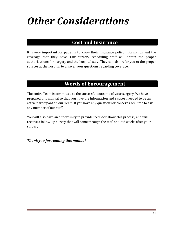## *Other Considerations*

## **Cost and Insurance**

It is very important for patients to know their insurance policy information and the coverage that they have. Our surgery scheduling staff will obtain the proper authorizations for surgery and the hospital stay. They can also refer you to the proper sources at the hospital to answer your questions regarding coverage.

## **Words of Encouragement**

The entire Team is committed to the successful outcome of your surgery. We have prepared this manual so that you have the information and support needed to be an active participant on our Team. If you have any questions or concerns, feel free to ask any member of our staff.

You will also have an opportunity to provide feedback about this process, and will receive a follow-up survey that will come through the mail about 6 weeks after your surgery.

*Thank you for reading this manual.*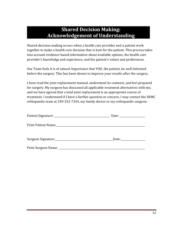## **Shared Decision Making: Acknowledgement of Understanding**

Shared decision making occurs when a health care provider and a patient work together to make a health care decision that is best for the patient. This process takes into account evidence-based information about available options, the health care provider's knowledge and experience, and the patient's values and preferences.

Our Team feels it is of utmost importance that YOU, the patient, be well informed before the surgery. This has been shown to improve your results after the surgery.

I have read the joint replacement manual, understand its contents, and feel prepared for surgery. My surgeon has discussed all applicable treatment alternatives with me, and we have agreed that a total joint replacement is an appropriate course of treatment. I understand if I have a further question or concern, I may contact the SRMC orthopaedic team at 330-332-7244, my family doctor or my orthopaedic surgeon.

| Print Patient Name: Mannell Allen Mannell Allen Mannell Allen Mannell Allen Mannell Allen Mannell Allen Manne |  |
|---------------------------------------------------------------------------------------------------------------|--|
|                                                                                                               |  |
|                                                                                                               |  |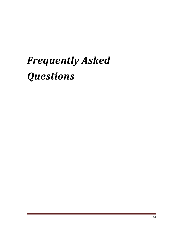## *Frequently Asked Questions*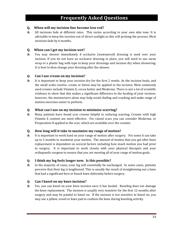## **Frequently Asked Questions**

#### **Q. When will my incision line become less red?**

**A:** All incisions fade at different rates. This varies according to your own skin tone. It is advisable to keep the incision out of direct sunlight as this will prolong the process. Most incisions fade by 6 months.

#### **Q. When can I get my incision wet?**

**A:** You may shower immediately if occlusive (waterproof) dressing is used over your incision. If you do not have an occlusive dressing in place, you will need to use saran wrap or a plastic bag with tape to keep your dressings and incision dry when showering. It is best to then change your dressing after the shower.

#### **Q: Can I use cream on my incision?**

**A:** It is important to keep your incision dry for the first 2 weeks. As the incision heals, and the small scabs resolve, cream or lotion may be applied to the incision. Most commonly used creams include Vitamin E, cocoa butter and Mederma. There is not a lot of scientific evidence to show that this makes a significant difference in the healing of your incision; however, the moisturizers alone may help avoid chafing and cracking and make range of motion exercises easier to perform.

#### **Q: What can I use on my incision to minimize scarring?**

**A:** Many patients have found scar creams helpful in reducing scarring. Creams with high Vitamin E content are most effective. For raised scars you can consider Mederma, or Preparation H applied to the scar, which are available over the counter.

#### **Q. How long will it take to maximize my range of motion?**

**A:** It is important to work hard on your range of motion after surgery. For some it can take up to 3 months to maximize your motion. The amount of motion that you get after knee replacement is dependent on several factors including how much motion you had prior to surgery. It is important to work closely with your physical therapist and your orthopaedic surgeon to ensure that you are meeting all of your range of motion goals.

#### **Q: I think my leg feels longer now. Is this possible?**

**A:** In the majority of cases, your leg will essentially be unchanged. In some cases, patients perceive that their leg is lengthened. This is usually the result of straightening out a knee that had a significant bow or knock knee deformity before surgery.

#### **Q: Can I kneel on my knee incision?**

**A:** Yes, you can kneel on your knee incision once it has healed. Kneeling does not damage the knee replacement. The incision is usually very sensitive for the first 12 months after surgery and may be painful to kneel on. If the incision is too sensitive to kneel on, you may use a pillow, towel or knee pad to cushion the knee during kneeling activity.